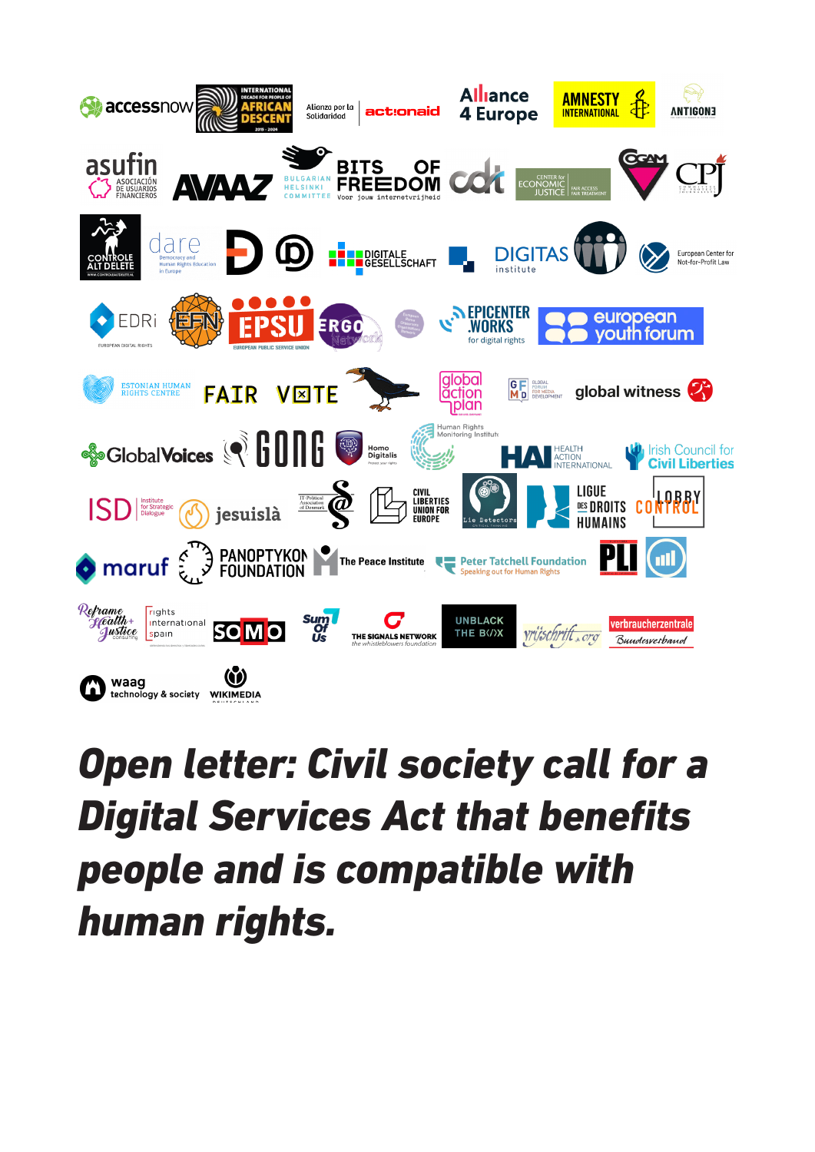

# *Open letter: Civil society call for a Digital Services Act that benefits people and is compatible with human rights.*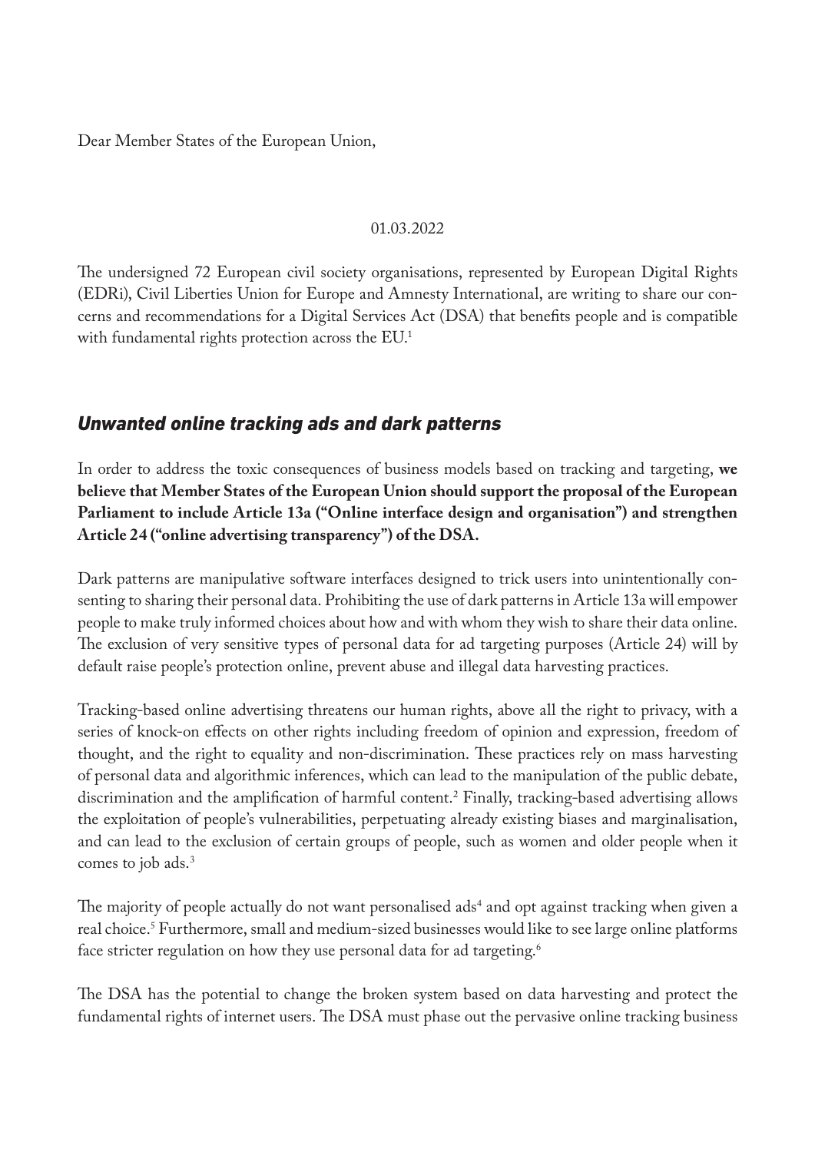Dear Member States of the European Union,

#### 01.03.2022

The undersigned 72 European civil society organisations, represented by European Digital Rights (EDRi), Civil Liberties Union for Europe and Amnesty International, are writing to share our concerns and recommendations for a Digital Services Act (DSA) that benefits people and is compatible with fundamental rights protection across the EU.<sup>1</sup>

## *Unwanted online tracking ads and dark patterns*

In order to address the toxic consequences of business models based on tracking and targeting, **we believe that Member States of the European Union should support the proposal of the European Parliament to include Article 13a ("Online interface design and organisation") and strengthen Article 24 ("online advertising transparency") of the DSA.**

Dark patterns are manipulative software interfaces designed to trick users into unintentionally consenting to sharing their personal data. Prohibiting the use of dark patterns in Article 13a will empower people to make truly informed choices about how and with whom they wish to share their data online. The exclusion of very sensitive types of personal data for ad targeting purposes (Article 24) will by default raise people's protection online, prevent abuse and illegal data harvesting practices.

Tracking-based online advertising threatens our human rights, above all the right to privacy, with a series of knock-on effects on other rights including freedom of opinion and expression, freedom of thought, and the right to equality and non-discrimination. These practices rely on mass harvesting of personal data and algorithmic inferences, which can lead to the manipulation of the public debate, discrimination and the amplification of harmful content.2 Finally, tracking-based advertising allows the exploitation of people's vulnerabilities, perpetuating already existing biases and marginalisation, and can lead to the exclusion of certain groups of people, such as women and older people when it comes to job ads.3

The majority of people actually do not want personalised ads $^4$  and opt against tracking when given a real choice.5 Furthermore, small and medium-sized businesses would like to see large online platforms face stricter regulation on how they use personal data for ad targeting.<sup>6</sup>

The DSA has the potential to change the broken system based on data harvesting and protect the fundamental rights of internet users. The DSA must phase out the pervasive online tracking business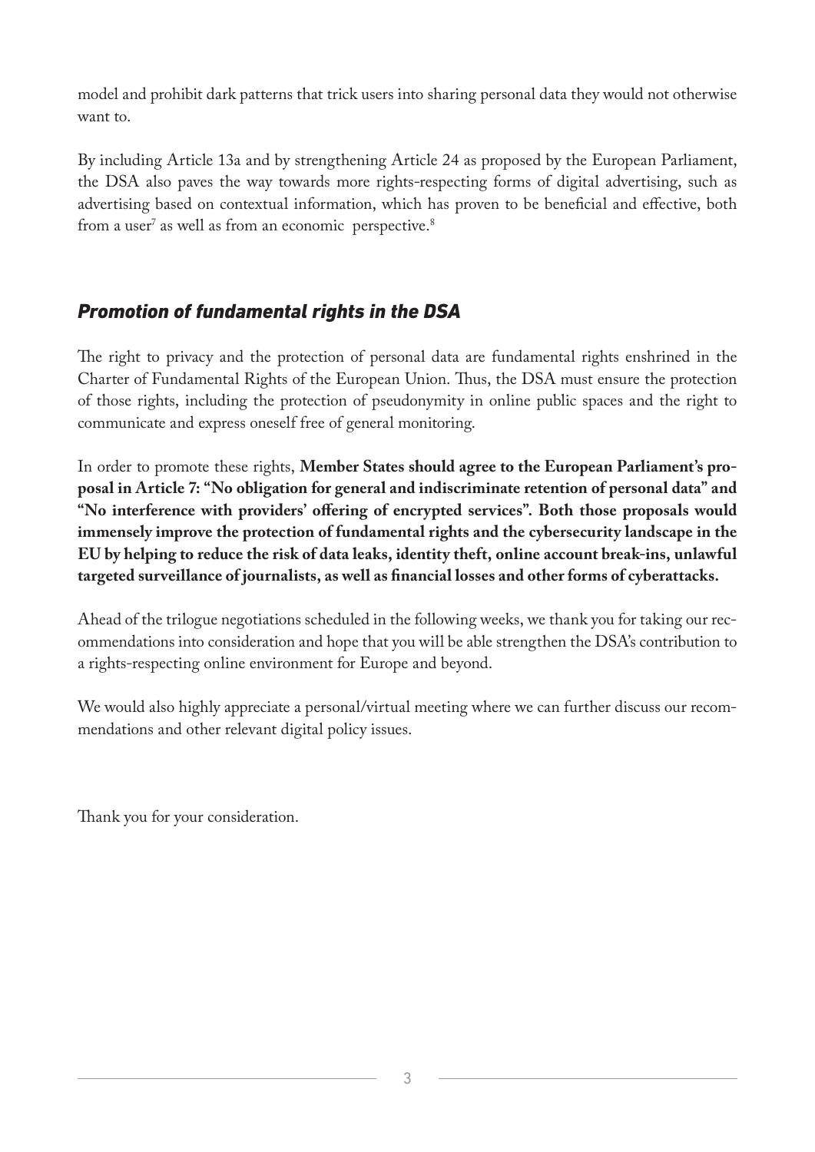model and prohibit dark patterns that trick users into sharing personal data they would not otherwise want to.

By including Article 13a and by strengthening Article 24 as proposed by the European Parliament, the DSA also paves the way towards more rights-respecting forms of digital advertising, such as advertising based on contextual information, which has proven to be beneficial and effective, both from a user<sup>7</sup> as well as from an economic perspective.<sup>8</sup>

## *Promotion of fundamental rights in the DSA*

The right to privacy and the protection of personal data are fundamental rights enshrined in the Charter of Fundamental Rights of the European Union. Thus, the DSA must ensure the protection of those rights, including the protection of pseudonymity in online public spaces and the right to communicate and express oneself free of general monitoring.

In order to promote these rights, **Member States should agree to the European Parliament's proposal in Article 7: "No obligation for general and indiscriminate retention of personal data" and "No interference with providers' offering of encrypted services". Both those proposals would immensely improve the protection of fundamental rights and the cybersecurity landscape in the EU by helping to reduce the risk of data leaks, identity theft, online account break-ins, unlawful targeted surveillance of journalists, as well as financial losses and other forms of cyberattacks.**

Ahead of the trilogue negotiations scheduled in the following weeks, we thank you for taking our recommendations into consideration and hope that you will be able strengthen the DSA's contribution to a rights-respecting online environment for Europe and beyond.

We would also highly appreciate a personal/virtual meeting where we can further discuss our recommendations and other relevant digital policy issues.

Thank you for your consideration.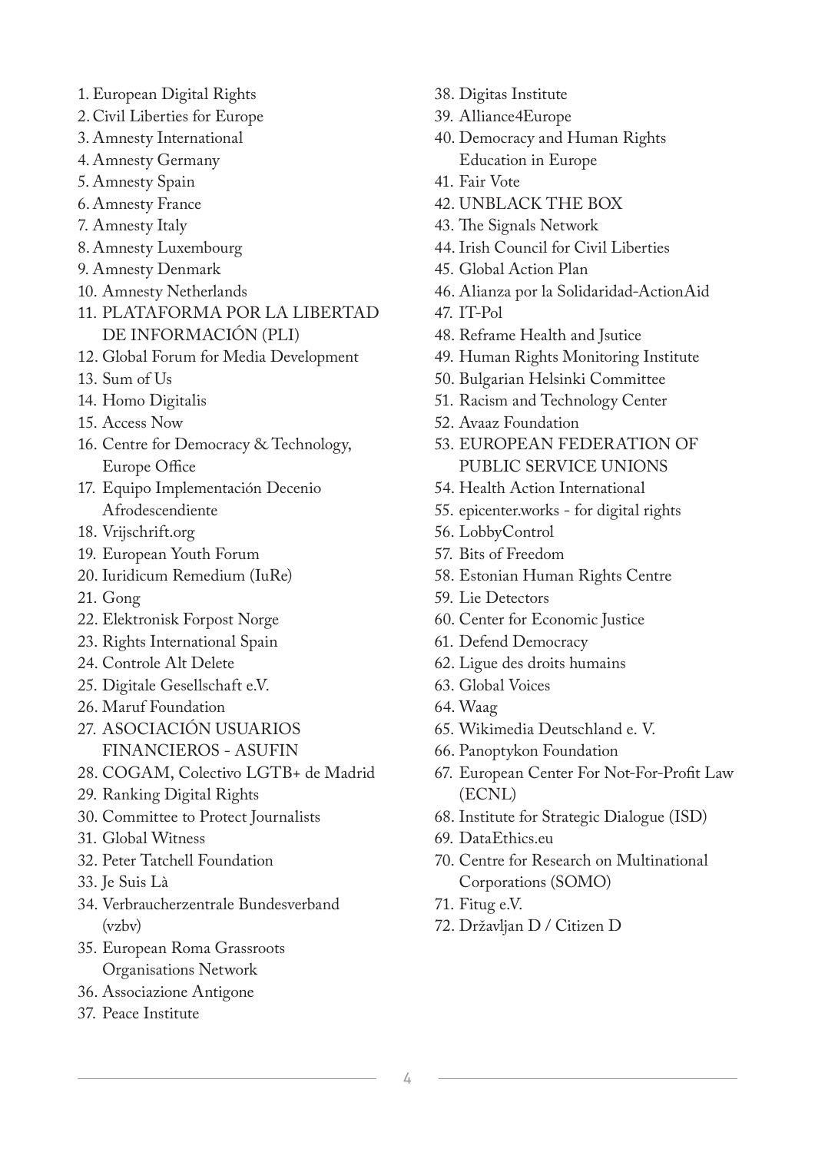- 1. European Digital Rights
- 2.Civil Liberties for Europe
- 3. Amnesty International
- 4. Amnesty Germany
- 5. Amnesty Spain
- 6. Amnesty France
- 7. Amnesty Italy
- 8. Amnesty Luxembourg
- 9. Amnesty Denmark
- 10. Amnesty Netherlands
- 11. PLATAFORMA POR LA LIBERTAD DE INFORMACIÓN (PLI)
- 12. Global Forum for Media Development
- 13. Sum of Us
- 14. Homo Digitalis
- 15. Access Now
- 16. Centre for Democracy & Technology, Europe Office
- 17. Equipo Implementación Decenio Afrodescendiente
- 18. Vrijschrift.org
- 19. European Youth Forum
- 20. Iuridicum Remedium (IuRe)
- 21. Gong
- 22. Elektronisk Forpost Norge
- 23. Rights International Spain
- 24. Controle Alt Delete
- 25. Digitale Gesellschaft e.V.
- 26. Maruf Foundation
- 27. ASOCIACIÓN USUARIOS FINANCIEROS - ASUFIN
- 28. COGAM, Colectivo LGTB+ de Madrid
- 29. Ranking Digital Rights
- 30. Committee to Protect Journalists
- 31. Global Witness
- 32. Peter Tatchell Foundation
- 33. Je Suis Là
- 34. Verbraucherzentrale Bundesverband (vzbv)
- 35. European Roma Grassroots Organisations Network
- 36. Associazione Antigone
- 37. Peace Institute
- 38. Digitas Institute
- 39. Alliance4Europe
- 40. Democracy and Human Rights Education in Europe
- 41. Fair Vote
- 42. UNBLACK THE BOX
- 43. The Signals Network
- 44. Irish Council for Civil Liberties
- 45. Global Action Plan
- 46. Alianza por la Solidaridad-ActionAid
- 47. IT-Pol
- 48. Reframe Health and Jsutice
- 49. Human Rights Monitoring Institute
- 50. Bulgarian Helsinki Committee
- 51. Racism and Technology Center
- 52. Avaaz Foundation
- 53. EUROPEAN FEDERATION OF PUBLIC SERVICE UNIONS
- 54. Health Action International
- 55. epicenter.works for digital rights
- 56. LobbyControl
- 57. Bits of Freedom
- 58. Estonian Human Rights Centre
- 59. Lie Detectors
- 60. Center for Economic Justice
- 61. Defend Democracy
- 62. Ligue des droits humains
- 63. Global Voices
- 64. Waag
- 65. Wikimedia Deutschland e. V.
- 66. Panoptykon Foundation
- 67. European Center For Not-For-Profit Law (ECNL)
- 68. Institute for Strategic Dialogue (ISD)
- 69. DataEthics.eu
- 70. Centre for Research on Multinational Corporations (SOMO)
- 71. Fitug e.V.
- 72. Državljan D / Citizen D